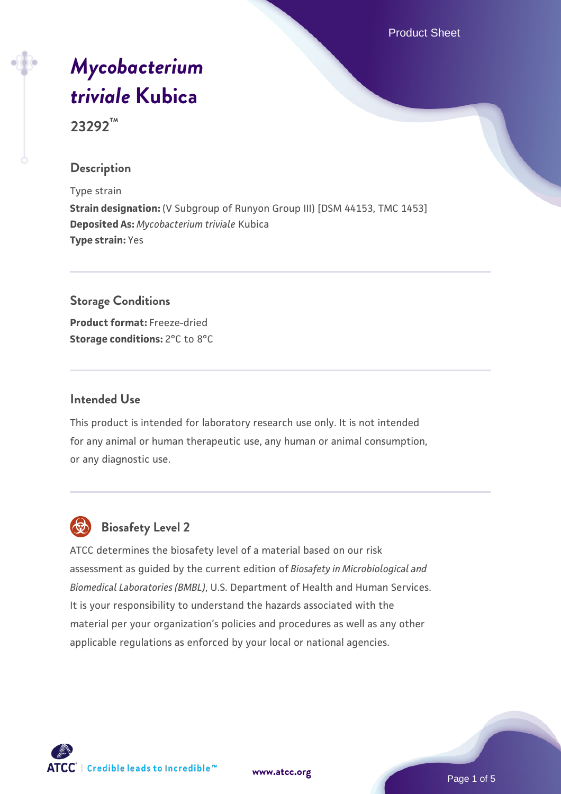Product Sheet

# *[Mycobacterium](https://www.atcc.org/products/23292) [triviale](https://www.atcc.org/products/23292)* **[Kubica](https://www.atcc.org/products/23292)**

**23292™**

# **Description**

Type strain **Strain designation:** (V Subgroup of Runyon Group III) [DSM 44153, TMC 1453] **Deposited As:** *Mycobacterium triviale* Kubica **Type strain:** Yes

#### **Storage Conditions**

**Product format:** Freeze-dried **Storage conditions:** 2°C to 8°C

## **Intended Use**

This product is intended for laboratory research use only. It is not intended for any animal or human therapeutic use, any human or animal consumption, or any diagnostic use.



# **Biosafety Level 2**

ATCC determines the biosafety level of a material based on our risk assessment as guided by the current edition of *Biosafety in Microbiological and Biomedical Laboratories (BMBL)*, U.S. Department of Health and Human Services. It is your responsibility to understand the hazards associated with the material per your organization's policies and procedures as well as any other applicable regulations as enforced by your local or national agencies.



**[www.atcc.org](http://www.atcc.org)**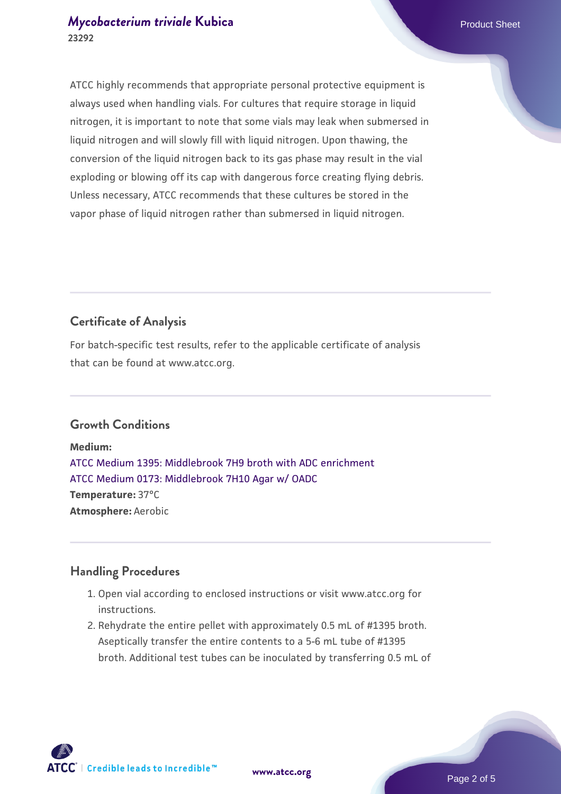## *[Mycobacterium triviale](https://www.atcc.org/products/23292)* [Kubica](https://www.atcc.org/products/23292) **Product Sheet** Product Sheet **23292**

ATCC highly recommends that appropriate personal protective equipment is always used when handling vials. For cultures that require storage in liquid nitrogen, it is important to note that some vials may leak when submersed in liquid nitrogen and will slowly fill with liquid nitrogen. Upon thawing, the conversion of the liquid nitrogen back to its gas phase may result in the vial exploding or blowing off its cap with dangerous force creating flying debris. Unless necessary, ATCC recommends that these cultures be stored in the vapor phase of liquid nitrogen rather than submersed in liquid nitrogen.

# **Certificate of Analysis**

For batch-specific test results, refer to the applicable certificate of analysis that can be found at www.atcc.org.

# **Growth Conditions**

**Medium:**  [ATCC Medium 1395: Middlebrook 7H9 broth with ADC enrichment](https://www.atcc.org/-/media/product-assets/documents/microbial-media-formulations/1/3/9/5/atcc-medium-1395.pdf?rev=83f84c8c9e994a71a2edb0458ff02218) [ATCC Medium 0173: Middlebrook 7H10 Agar w/ OADC](https://www.atcc.org/-/media/product-assets/documents/microbial-media-formulations/0/1/7/3/atcc-medium-0173.pdf?rev=2fcd87d0ebaf471d8aa6aba3758ef39f) **Temperature:** 37°C **Atmosphere:** Aerobic

#### **Handling Procedures**

- 1. Open vial according to enclosed instructions or visit www.atcc.org for instructions.
- 2. Rehydrate the entire pellet with approximately 0.5 mL of #1395 broth. Aseptically transfer the entire contents to a 5-6 mL tube of #1395 broth. Additional test tubes can be inoculated by transferring 0.5 mL of

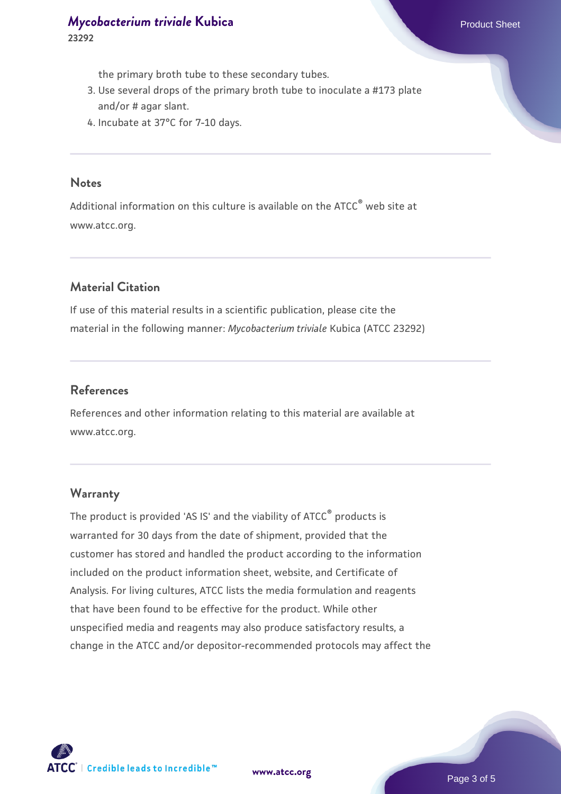the primary broth tube to these secondary tubes.

- 3. Use several drops of the primary broth tube to inoculate a #173 plate and/or # agar slant.
- 4. Incubate at 37°C for 7-10 days.

#### **Notes**

Additional information on this culture is available on the ATCC® web site at www.atcc.org.

# **Material Citation**

If use of this material results in a scientific publication, please cite the material in the following manner: *Mycobacterium triviale* Kubica (ATCC 23292)

## **References**

References and other information relating to this material are available at www.atcc.org.

#### **Warranty**

The product is provided 'AS IS' and the viability of ATCC® products is warranted for 30 days from the date of shipment, provided that the customer has stored and handled the product according to the information included on the product information sheet, website, and Certificate of Analysis. For living cultures, ATCC lists the media formulation and reagents that have been found to be effective for the product. While other unspecified media and reagents may also produce satisfactory results, a change in the ATCC and/or depositor-recommended protocols may affect the

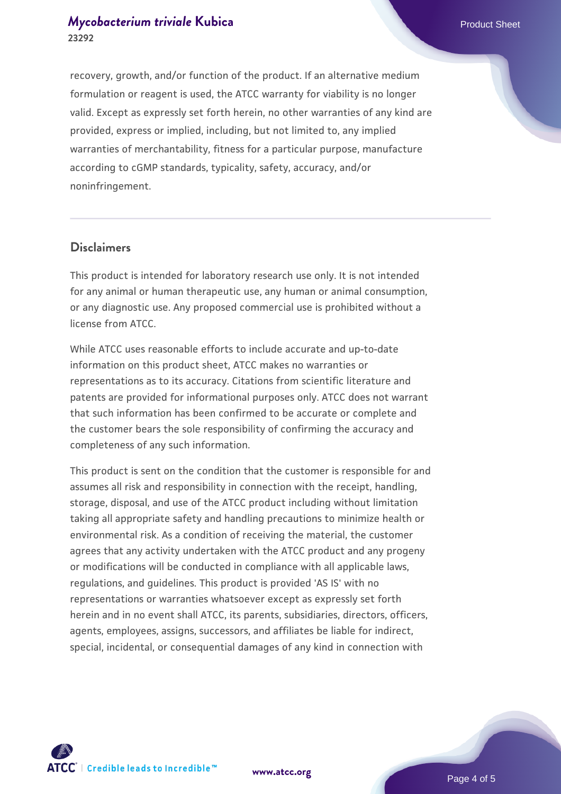# *[Mycobacterium triviale](https://www.atcc.org/products/23292)* [Kubica](https://www.atcc.org/products/23292) **Product Sheet** Product Sheet **23292**

recovery, growth, and/or function of the product. If an alternative medium formulation or reagent is used, the ATCC warranty for viability is no longer valid. Except as expressly set forth herein, no other warranties of any kind are provided, express or implied, including, but not limited to, any implied warranties of merchantability, fitness for a particular purpose, manufacture according to cGMP standards, typicality, safety, accuracy, and/or noninfringement.

#### **Disclaimers**

This product is intended for laboratory research use only. It is not intended for any animal or human therapeutic use, any human or animal consumption, or any diagnostic use. Any proposed commercial use is prohibited without a license from ATCC.

While ATCC uses reasonable efforts to include accurate and up-to-date information on this product sheet, ATCC makes no warranties or representations as to its accuracy. Citations from scientific literature and patents are provided for informational purposes only. ATCC does not warrant that such information has been confirmed to be accurate or complete and the customer bears the sole responsibility of confirming the accuracy and completeness of any such information.

This product is sent on the condition that the customer is responsible for and assumes all risk and responsibility in connection with the receipt, handling, storage, disposal, and use of the ATCC product including without limitation taking all appropriate safety and handling precautions to minimize health or environmental risk. As a condition of receiving the material, the customer agrees that any activity undertaken with the ATCC product and any progeny or modifications will be conducted in compliance with all applicable laws, regulations, and guidelines. This product is provided 'AS IS' with no representations or warranties whatsoever except as expressly set forth herein and in no event shall ATCC, its parents, subsidiaries, directors, officers, agents, employees, assigns, successors, and affiliates be liable for indirect, special, incidental, or consequential damages of any kind in connection with